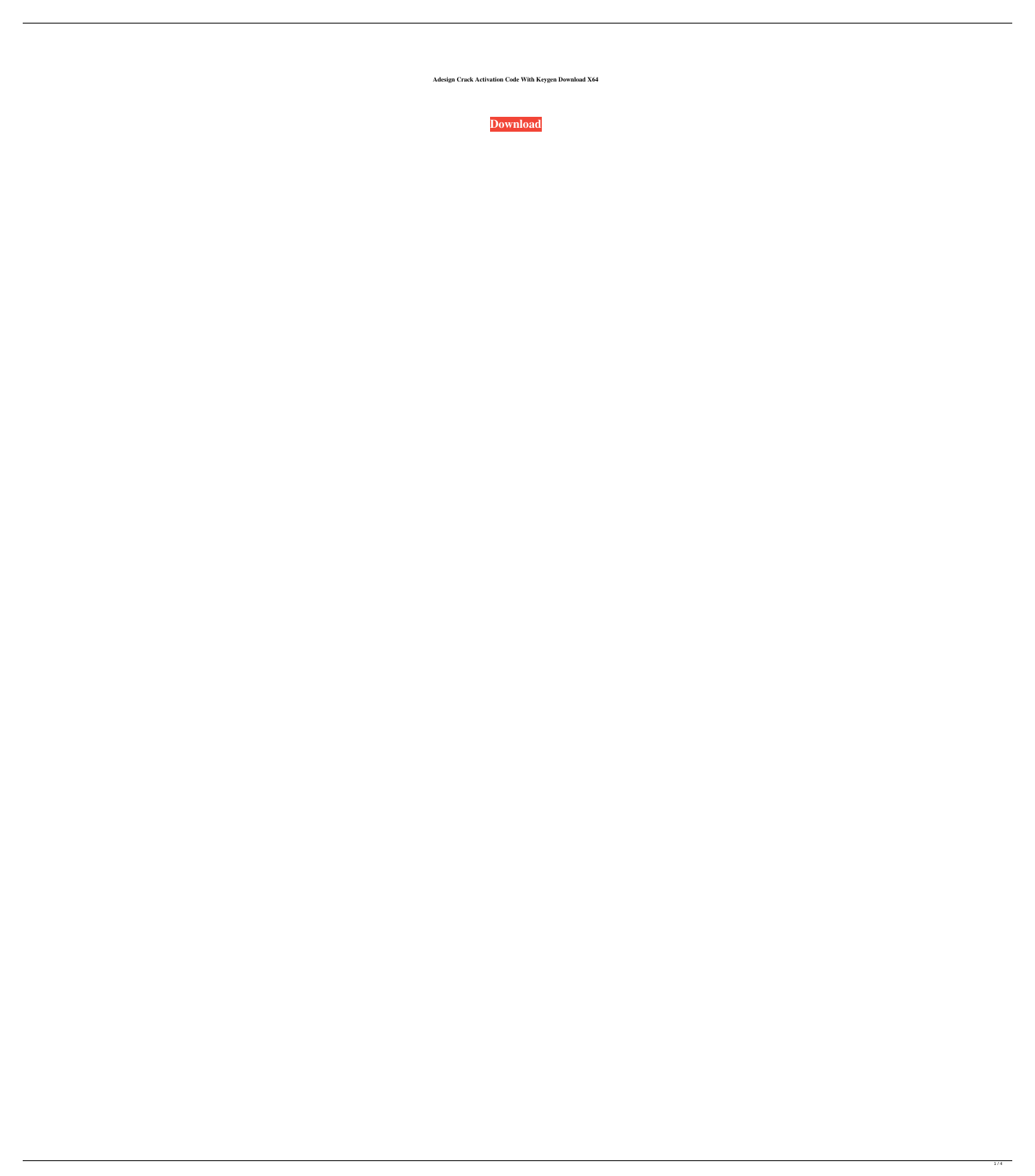**Adesign Crack Activation Code With Keygen Download X64**



 $1/4$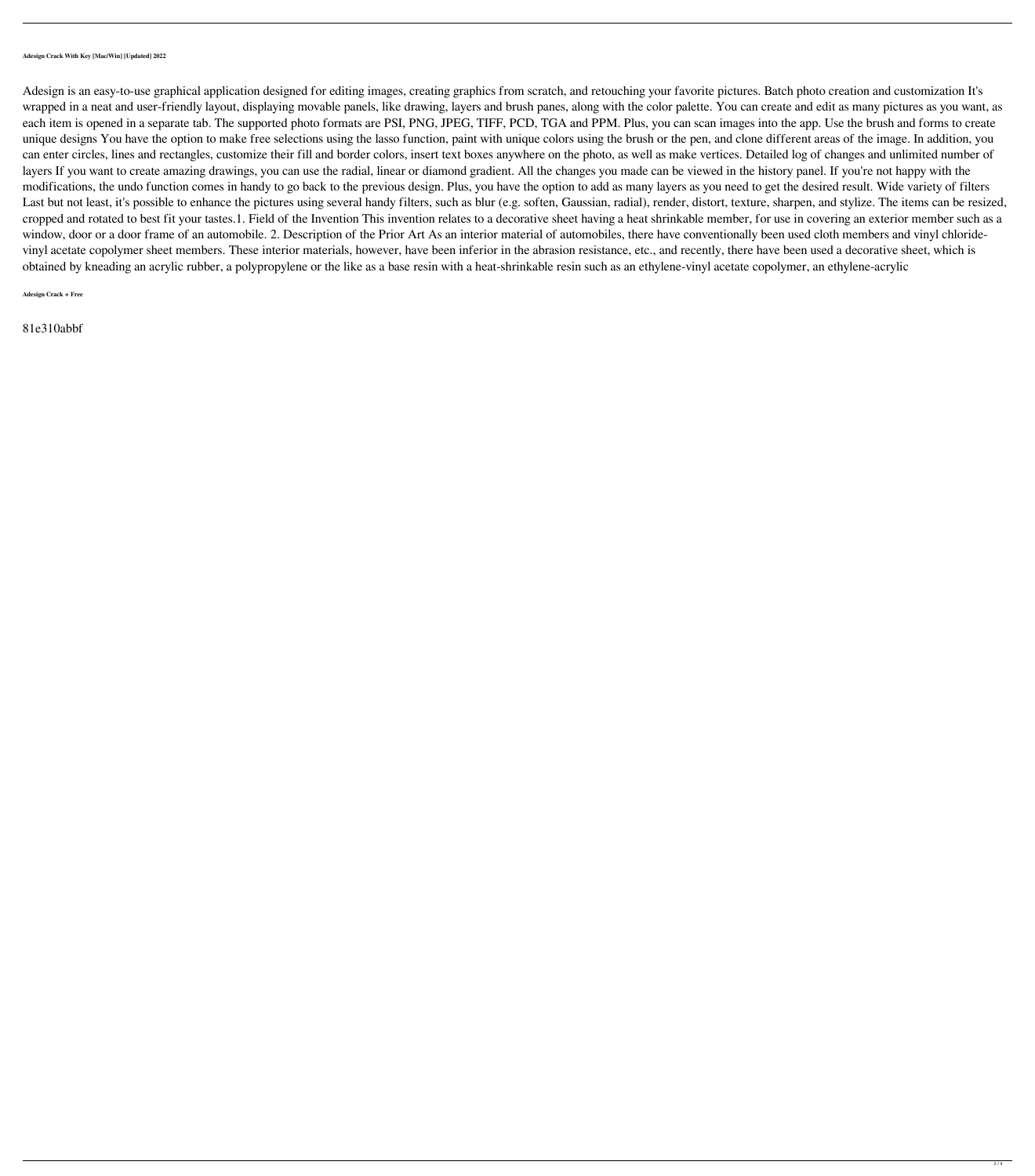## **Adesign Crack With Key [Mac/Win] [Updated] 2022**

Adesign is an easy-to-use graphical application designed for editing images, creating graphics from scratch, and retouching your favorite pictures. Batch photo creation and customization It's wrapped in a neat and user-friendly layout, displaying movable panels, like drawing, layers and brush panes, along with the color palette. You can create and edit as many pictures as you want, as each item is opened in a separate tab. The supported photo formats are PSI, PNG, JPEG, TIFF, PCD, TGA and PPM. Plus, you can scan images into the app. Use the brush and forms to create unique designs You have the option to make free selections using the lasso function, paint with unique colors using the brush or the pen, and clone different areas of the image. In addition, you can enter circles, lines and rectangles, customize their fill and border colors, insert text boxes anywhere on the photo, as well as make vertices. Detailed log of changes and unlimited number of layers If you want to create amazing drawings, you can use the radial, linear or diamond gradient. All the changes you made can be viewed in the history panel. If you're not happy with the modifications, the undo function comes in handy to go back to the previous design. Plus, you have the option to add as many layers as you need to get the desired result. Wide variety of filters Last but not least, it's possible to enhance the pictures using several handy filters, such as blur (e.g. soften, Gaussian, radial), render, distort, texture, sharpen, and stylize. The items can be resized, cropped and rotated to best fit your tastes.1. Field of the Invention This invention relates to a decorative sheet having a heat shrinkable member, for use in covering an exterior member such as a window, door or a door frame of an automobile. 2. Description of the Prior Art As an interior material of automobiles, there have conventionally been used cloth members and vinyl chloridevinyl acetate copolymer sheet members. These interior materials, however, have been inferior in the abrasion resistance, etc., and recently, there have been used a decorative sheet, which is obtained by kneading an acrylic rubber, a polypropylene or the like as a base resin with a heat-shrinkable resin such as an ethylene-vinyl acetate copolymer, an ethylene-acrylic

**Adesign Crack + Free**

81e310abbf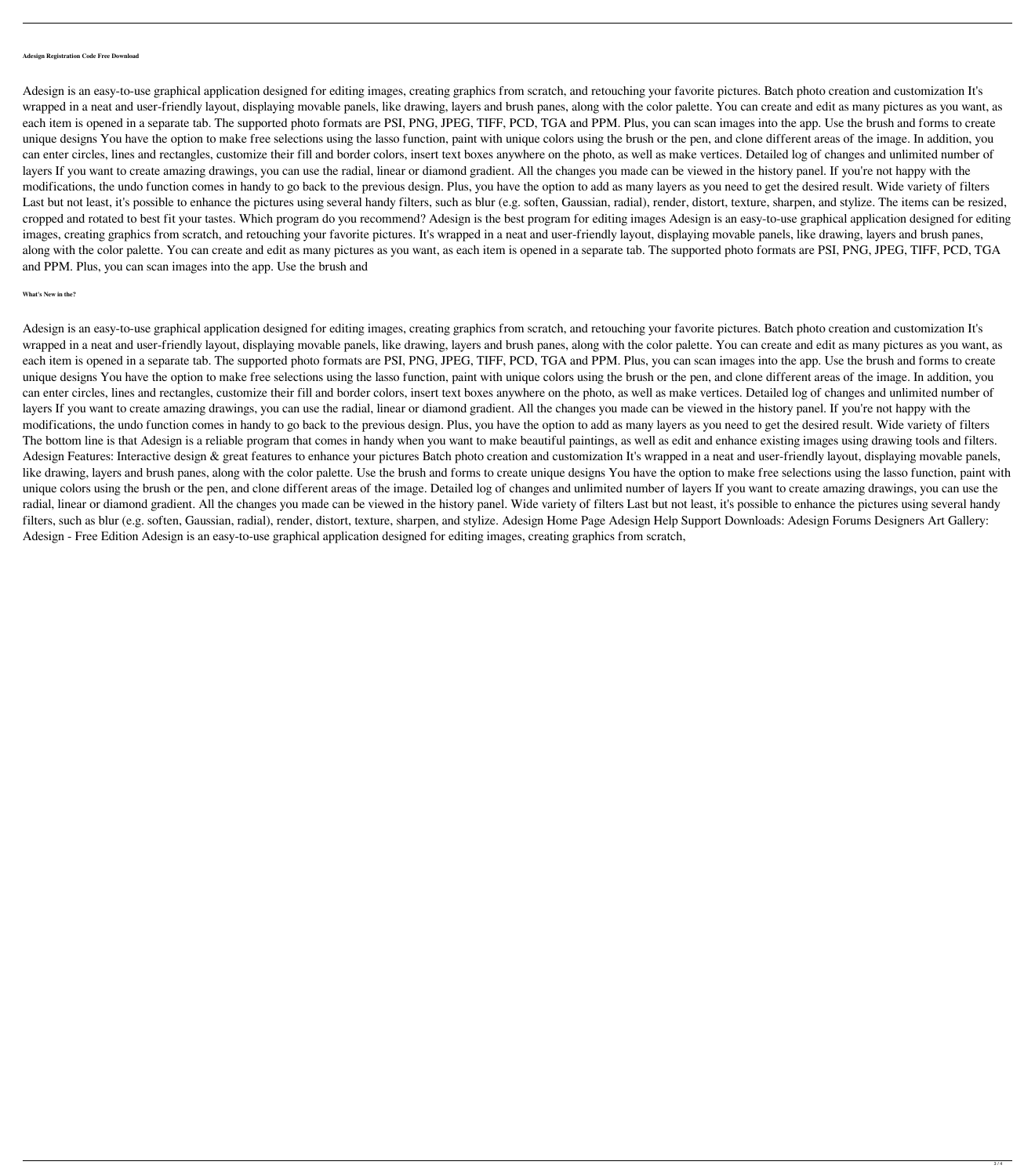## **Adesign Registration Code Free Download**

Adesign is an easy-to-use graphical application designed for editing images, creating graphics from scratch, and retouching your favorite pictures. Batch photo creation and customization It's wrapped in a neat and user-friendly layout, displaying movable panels, like drawing, layers and brush panes, along with the color palette. You can create and edit as many pictures as you want, as each item is opened in a separate tab. The supported photo formats are PSI, PNG, JPEG, TIFF, PCD, TGA and PPM. Plus, you can scan images into the app. Use the brush and forms to create unique designs You have the option to make free selections using the lasso function, paint with unique colors using the brush or the pen, and clone different areas of the image. In addition, you can enter circles, lines and rectangles, customize their fill and border colors, insert text boxes anywhere on the photo, as well as make vertices. Detailed log of changes and unlimited number of layers If you want to create amazing drawings, you can use the radial, linear or diamond gradient. All the changes you made can be viewed in the history panel. If you're not happy with the modifications, the undo function comes in handy to go back to the previous design. Plus, you have the option to add as many layers as you need to get the desired result. Wide variety of filters Last but not least, it's possible to enhance the pictures using several handy filters, such as blur (e.g. soften, Gaussian, radial), render, distort, texture, sharpen, and stylize. The items can be resized, cropped and rotated to best fit your tastes. Which program do you recommend? Adesign is the best program for editing images Adesign is an easy-to-use graphical application designed for editing images, creating graphics from scratch, and retouching your favorite pictures. It's wrapped in a neat and user-friendly layout, displaying movable panels, like drawing, layers and brush panes, along with the color palette. You can create and edit as many pictures as you want, as each item is opened in a separate tab. The supported photo formats are PSI, PNG, JPEG, TIFF, PCD, TGA and PPM. Plus, you can scan images into the app. Use the brush and

## **What's New in the?**

Adesign is an easy-to-use graphical application designed for editing images, creating graphics from scratch, and retouching your favorite pictures. Batch photo creation and customization It's wrapped in a neat and user-friendly layout, displaying movable panels, like drawing, layers and brush panes, along with the color palette. You can create and edit as many pictures as you want, as each item is opened in a separate tab. The supported photo formats are PSI, PNG, JPEG, TIFF, PCD, TGA and PPM. Plus, you can scan images into the app. Use the brush and forms to create unique designs You have the option to make free selections using the lasso function, paint with unique colors using the brush or the pen, and clone different areas of the image. In addition, you can enter circles, lines and rectangles, customize their fill and border colors, insert text boxes anywhere on the photo, as well as make vertices. Detailed log of changes and unlimited number of layers If you want to create amazing drawings, you can use the radial, linear or diamond gradient. All the changes you made can be viewed in the history panel. If you're not happy with the modifications, the undo function comes in handy to go back to the previous design. Plus, you have the option to add as many layers as you need to get the desired result. Wide variety of filters The bottom line is that Adesign is a reliable program that comes in handy when you want to make beautiful paintings, as well as edit and enhance existing images using drawing tools and filters. Adesign Features: Interactive design & great features to enhance your pictures Batch photo creation and customization It's wrapped in a neat and user-friendly layout, displaying movable panels, like drawing, layers and brush panes, along with the color palette. Use the brush and forms to create unique designs You have the option to make free selections using the lasso function, paint with unique colors using the brush or the pen, and clone different areas of the image. Detailed log of changes and unlimited number of layers If you want to create amazing drawings, you can use the radial, linear or diamond gradient. All the changes you made can be viewed in the history panel. Wide variety of filters Last but not least, it's possible to enhance the pictures using several handy filters, such as blur (e.g. soften, Gaussian, radial), render, distort, texture, sharpen, and stylize. Adesign Home Page Adesign Help Support Downloads: Adesign Forums Designers Art Gallery: Adesign - Free Edition Adesign is an easy-to-use graphical application designed for editing images, creating graphics from scratch,